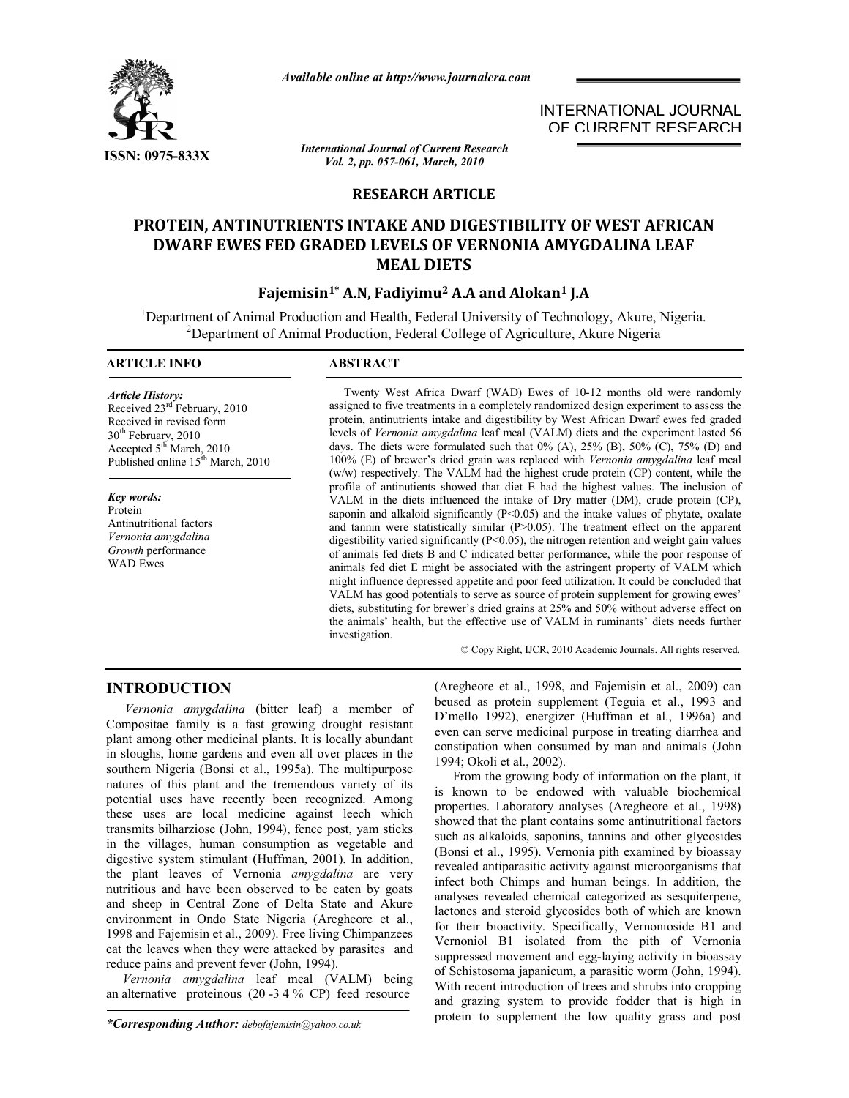

*Available online at http://www.journalcra.com*

*International Journal of Current Research Vol. 2, pp. 057-061, March, 2010*

# **RESEARCH ARTICLE**

# **PROTEIN, ANTINUTRIENTS INTAKE AND DIGESTIBILITY OF WEST AFRICAN DWARF EWES FED GRADED LEVELS OF VERNONIA AMYGDALINA LEAF MEAL DIETS**

# **Fajemisin1\* A.N, Fadiyimu2 A.A and Alokan1 J.A**

<sup>1</sup>Department of Animal Production and Health, Federal University of Technology, Akure, Nigeria.<br><sup>2</sup>Department of Animal Production, Eederal College of Agriculture, Akure Nigeria. <sup>2</sup>Department of Animal Production, Federal College of Agriculture, Akure Nigeria

## **ARTICLE INFO ABSTRACT**

*Article History:* Received  $23<sup>rd</sup>$  February, 2010 Received in revised form 30<sup>th</sup> February, 2010 Accepted 5<sup>th</sup> March, 2010 Published online 15<sup>th</sup> March, 2010

*Key words:* Protein Antinutritional factors *Vernonia amygdalina Growth* performance WAD Ewes

 Twenty West Africa Dwarf (WAD) Ewes of 10-12 months old were randomly assigned to five treatments in a completely randomized design experiment to assess the protein, antinutrients intake and digestibility by West African Dwarf ewes fed graded levels of *Vernonia amygdalina* leaf meal (VALM) diets and the experiment lasted 56 days. The diets were formulated such that  $0\%$  (A),  $25\%$  (B),  $50\%$  (C),  $75\%$  (D) and 100% (E) of brewer's dried grain was replaced with *Vernonia amygdalina* leaf meal (w/w) respectively. The VALM had the highest crude protein (CP) content, while the profile of antinutients showed that diet E had the highest values. The inclusion of VALM in the diets influenced the intake of Dry matter (DM), crude protein (CP), saponin and alkaloid significantly  $(P<0.05)$  and the intake values of phytate, oxalate and tannin were statistically similar (P>0.05). The treatment effect on the apparent digestibility varied significantly (P<0.05), the nitrogen retention and weight gain values of animals fed diets B and C indicated better performance, while the poor response of animals fed diet E might be associated with the astringent property of VALM which might influence depressed appetite and poor feed utilization. It could be concluded that VALM has good potentials to serve as source of protein supplement for growing ewes' diets, substituting for brewer's dried grains at 25% and 50% without adverse effect on the animals' health, but the effective use of VALM in ruminants' diets needs further investigation.

© Copy Right, IJCR, 2010 Academic Journals. All rights reserved.

INTERNATIONAL JOURNAL OF CURRENT RESEARCH

# **INTRODUCTION**

*Vernonia amygdalina* (bitter leaf) a member of Compositae family is a fast growing drought resistant plant among other medicinal plants. It is locally abundant in sloughs, home gardens and even all over places in the southern Nigeria (Bonsi et al., 1995a). The multipurpose natures of this plant and the tremendous variety of its potential uses have recently been recognized. Among these uses are local medicine against leech which transmits bilharziose (John, 1994), fence post, yam sticks in the villages, human consumption as vegetable and digestive system stimulant (Huffman, 2001). In addition, the plant leaves of Vernonia *amygdalina* are very nutritious and have been observed to be eaten by goats and sheep in Central Zone of Delta State and Akure environment in Ondo State Nigeria (Aregheore et al., 1998 and Fajemisin et al., 2009). Free living Chimpanzees eat the leaves when they were attacked by parasites and reduce pains and prevent fever (John, 1994).

 *Vernonia amygdalina* leaf meal (VALM) being an alternative proteinous (20 -3 4 % CP) feed resource

(Aregheore et al., 1998, and Fajemisin et al., 2009) can beused as protein supplement (Teguia et al., 1993 and D'mello 1992), energizer (Huffman et al., 1996a) and even can serve medicinal purpose in treating diarrhea and constipation when consumed by man and animals (John 1994; Okoli et al., 2002).

From the growing body of information on the plant, it is known to be endowed with valuable biochemical properties. Laboratory analyses (Aregheore et al., 1998) showed that the plant contains some antinutritional factors such as alkaloids, saponins, tannins and other glycosides (Bonsi et al., 1995). Vernonia pith examined by bioassay revealed antiparasitic activity against microorganisms that infect both Chimps and human beings. In addition, the analyses revealed chemical categorized as sesquiterpene, lactones and steroid glycosides both of which are known for their bioactivity. Specifically, Vernonioside B1 and Vernoniol B1 isolated from the pith of Vernonia suppressed movement and egg-laying activity in bioassay of Schistosoma japanicum, a parasitic worm (John, 1994). With recent introduction of trees and shrubs into cropping and grazing system to provide fodder that is high in protein to supplement the low quality grass and post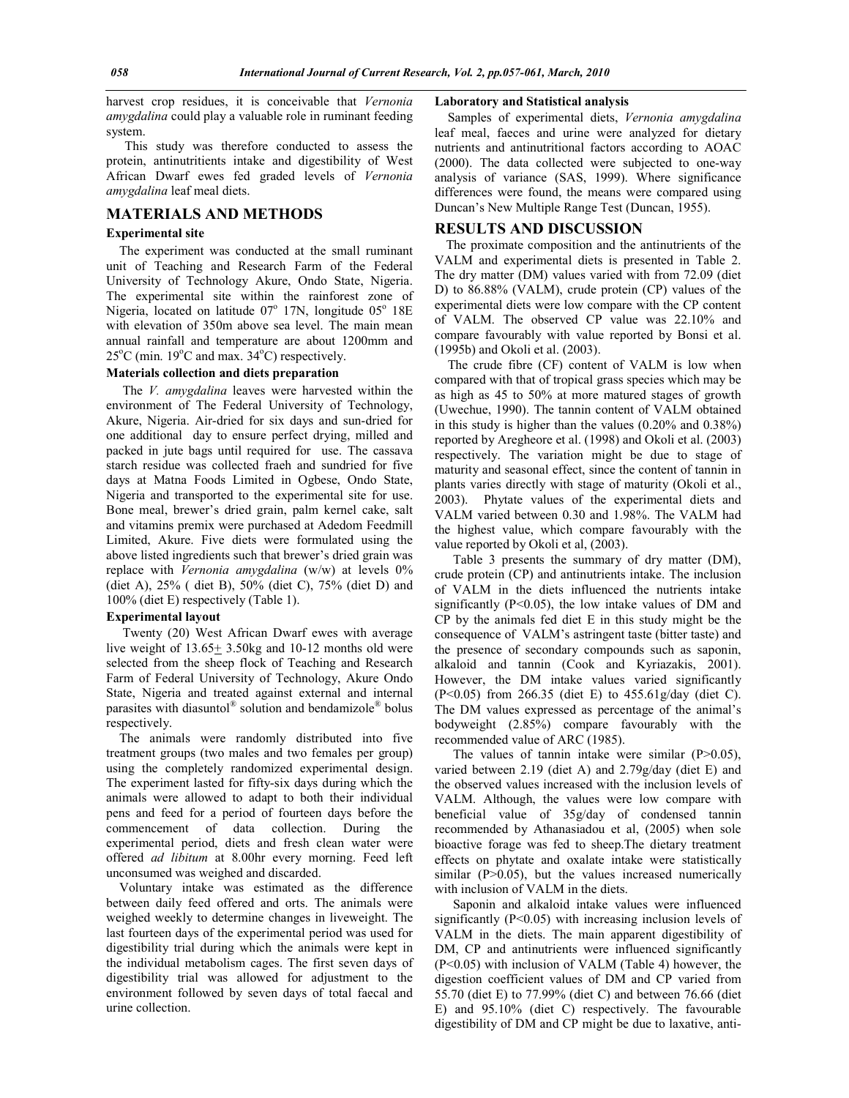harvest crop residues, it is conceivable that *Vernonia amygdalina* could play a valuable role in ruminant feeding system.

This study was therefore conducted to assess the protein, antinutritients intake and digestibility of West African Dwarf ewes fed graded levels of *Vernonia amygdalina* leaf meal diets.

## **MATERIALS AND METHODS**

### **Experimental site**

 The experiment was conducted at the small ruminant unit of Teaching and Research Farm of the Federal University of Technology Akure, Ondo State, Nigeria. The experimental site within the rainforest zone of Nigeria, located on latitude  $07^{\circ}$  17N, longitude  $05^{\circ}$  18E with elevation of 350m above sea level. The main mean annual rainfall and temperature are about 1200mm and  $25^{\circ}$ C (min. 19 $^{\circ}$ C and max. 34 $^{\circ}$ C) respectively.

### **Materials collection and diets preparation**

 The *V. amygdalina* leaves were harvested within the environment of The Federal University of Technology, Akure, Nigeria. Air-dried for six days and sun-dried for one additional day to ensure perfect drying, milled and packed in jute bags until required for use. The cassava starch residue was collected fraeh and sundried for five days at Matna Foods Limited in Ogbese, Ondo State, Nigeria and transported to the experimental site for use. Bone meal, brewer's dried grain, palm kernel cake, salt and vitamins premix were purchased at Adedom Feedmill Limited, Akure. Five diets were formulated using the above listed ingredients such that brewer's dried grain was replace with *Vernonia amygdalina* (w/w) at levels 0% (diet A), 25% ( diet B), 50% (diet C), 75% (diet D) and 100% (diet E) respectively (Table 1).

#### **Experimental layout**

 Twenty (20) West African Dwarf ewes with average live weight of  $13.65 \pm 3.50$ kg and  $10-12$  months old were selected from the sheep flock of Teaching and Research Farm of Federal University of Technology, Akure Ondo State, Nigeria and treated against external and internal parasites with diasuntol® solution and bendamizole® bolus respectively.

 The animals were randomly distributed into five treatment groups (two males and two females per group) using the completely randomized experimental design. The experiment lasted for fifty-six days during which the animals were allowed to adapt to both their individual pens and feed for a period of fourteen days before the commencement of data collection. During the experimental period, diets and fresh clean water were offered *ad libitum* at 8.00hr every morning. Feed left unconsumed was weighed and discarded.

 Voluntary intake was estimated as the difference between daily feed offered and orts. The animals were weighed weekly to determine changes in liveweight. The last fourteen days of the experimental period was used for digestibility trial during which the animals were kept in the individual metabolism cages. The first seven days of digestibility trial was allowed for adjustment to the environment followed by seven days of total faecal and urine collection.

# **Laboratory and Statistical analysis**

 Samples of experimental diets, *Vernonia amygdalina* leaf meal, faeces and urine were analyzed for dietary nutrients and antinutritional factors according to AOAC (2000). The data collected were subjected to one-way analysis of variance (SAS, 1999). Where significance differences were found, the means were compared using Duncan's New Multiple Range Test (Duncan, 1955).

**RESULTS AND DISCUSSION** The proximate composition and the antinutrients of the VALM and experimental diets is presented in Table 2. The dry matter (DM) values varied with from 72.09 (diet D) to 86.88% (VALM), crude protein (CP) values of the experimental diets were low compare with the CP content of VALM. The observed CP value was 22.10% and compare favourably with value reported by Bonsi et al. (1995b) and Okoli et al. (2003).

 The crude fibre (CF) content of VALM is low when compared with that of tropical grass species which may be as high as 45 to 50% at more matured stages of growth (Uwechue, 1990). The tannin content of VALM obtained in this study is higher than the values (0.20% and 0.38%) reported by Aregheore et al. (1998) and Okoli et al. (2003) respectively. The variation might be due to stage of maturity and seasonal effect, since the content of tannin in plants varies directly with stage of maturity (Okoli et al., 2003). Phytate values of the experimental diets and VALM varied between 0.30 and 1.98%. The VALM had the highest value, which compare favourably with the value reported by Okoli et al, (2003).

Table 3 presents the summary of dry matter (DM), crude protein (CP) and antinutrients intake. The inclusion of VALM in the diets influenced the nutrients intake significantly  $(P<0.05)$ , the low intake values of DM and CP by the animals fed diet E in this study might be the consequence of VALM's astringent taste (bitter taste) and the presence of secondary compounds such as saponin, alkaloid and tannin (Cook and Kyriazakis, 2001). However, the DM intake values varied significantly (P<0.05) from 266.35 (diet E) to 455.61g/day (diet C). The DM values expressed as percentage of the animal's bodyweight (2.85%) compare favourably with the recommended value of ARC (1985).

The values of tannin intake were similar  $(P>0.05)$ , varied between 2.19 (diet A) and 2.79g/day (diet E) and the observed values increased with the inclusion levels of VALM. Although, the values were low compare with beneficial value of 35g/day of condensed tannin recommended by Athanasiadou et al, (2005) when sole bioactive forage was fed to sheep.The dietary treatment effects on phytate and oxalate intake were statistically similar  $(P>0.05)$ , but the values increased numerically with inclusion of VALM in the diets.

Saponin and alkaloid intake values were influenced significantly (P<0.05) with increasing inclusion levels of VALM in the diets. The main apparent digestibility of DM, CP and antinutrients were influenced significantly (P<0.05) with inclusion of VALM (Table 4) however, the digestion coefficient values of DM and CP varied from 55.70 (diet E) to 77.99% (diet C) and between 76.66 (diet E) and 95.10% (diet C) respectively. The favourable digestibility of DM and CP might be due to laxative, anti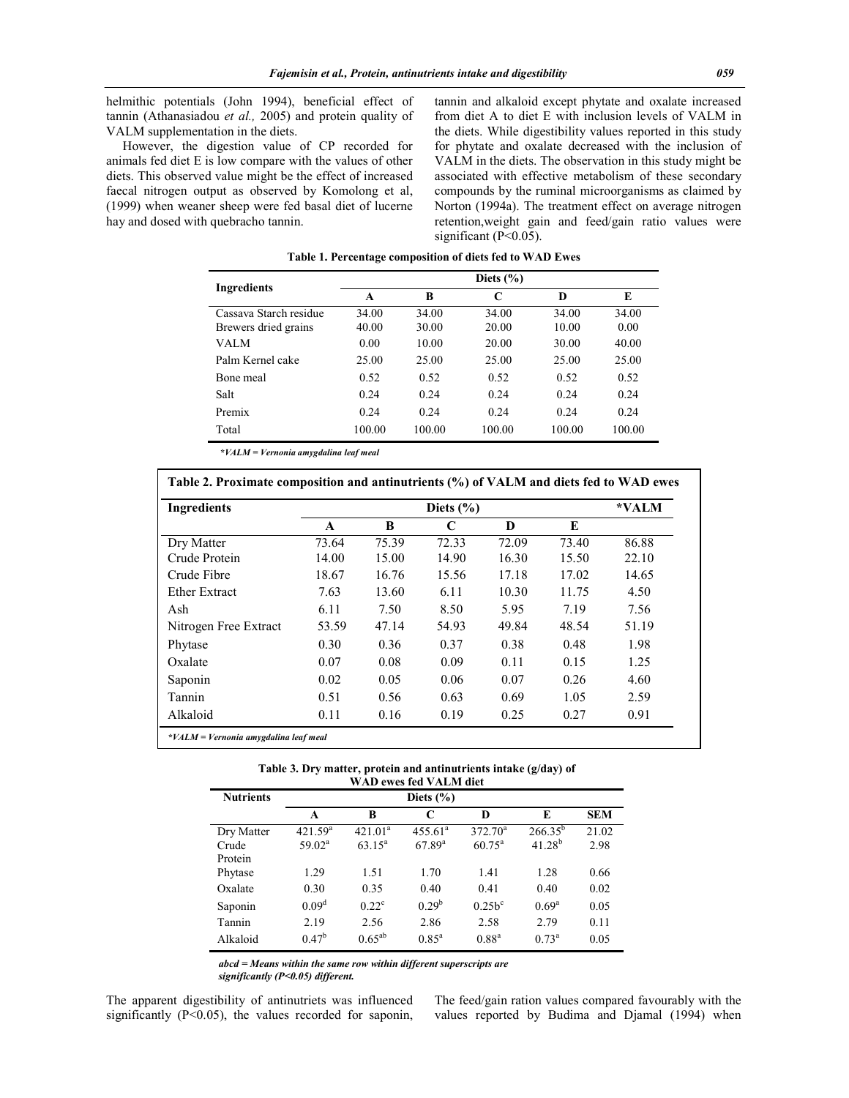helmithic potentials (John 1994), beneficial effect of tannin (Athanasiadou *et al.,* 2005) and protein quality of VALM supplementation in the diets.

 However, the digestion value of CP recorded for animals fed diet E is low compare with the values of other diets. This observed value might be the effect of increased faecal nitrogen output as observed by Komolong et al, (1999) when weaner sheep were fed basal diet of lucerne hay and dosed with quebracho tannin.

tannin and alkaloid except phytate and oxalate increased from diet A to diet E with inclusion levels of VALM in the diets. While digestibility values reported in this study for phytate and oxalate decreased with the inclusion of VALM in the diets. The observation in this study might be associated with effective metabolism of these secondary compounds by the ruminal microorganisms as claimed by Norton (1994a). The treatment effect on average nitrogen retention,weight gain and feed/gain ratio values were significant (P<0.05).

| Ingredients                                    | Diets $(\% )$  |                |                |                |               |  |  |
|------------------------------------------------|----------------|----------------|----------------|----------------|---------------|--|--|
|                                                | A              | B              | C              | D              | E             |  |  |
| Cassava Starch residue<br>Brewers dried grains | 34.00<br>40.00 | 34.00<br>30.00 | 34.00<br>20.00 | 34.00<br>10.00 | 34.00<br>0.00 |  |  |
| VALM                                           | 0.00           | 10.00          | 20.00          | 30.00          | 40.00         |  |  |
| Palm Kernel cake                               | 25.00          | 25.00          | 25.00          | 25.00          | 25.00         |  |  |
| Bone meal                                      | 0.52           | 0.52           | 0.52           | 0.52           | 0.52          |  |  |
| Salt                                           | 0.24           | 0.24           | 0.24           | 0.24           | 0.24          |  |  |
| Premix                                         | 0.24           | 0.24           | 0.24           | 0.24           | 0.24          |  |  |
| Total                                          | 100.00         | 100.00         | 100.00         | 100.00         | 100.00        |  |  |

**Table 1. Percentage composition of diets fed to WAD Ewes**

*\*VALM = Vernonia amygdalina leaf meal*

| <b>Ingredients</b>    |       | Diets $(\% )$ |       |       |       |       |  |
|-----------------------|-------|---------------|-------|-------|-------|-------|--|
|                       | A     | B             | C     | D     | E     |       |  |
| Dry Matter            | 73.64 | 75.39         | 72.33 | 72.09 | 73.40 | 86.88 |  |
| Crude Protein         | 14.00 | 15.00         | 14.90 | 16.30 | 15.50 | 22.10 |  |
| Crude Fibre           | 18.67 | 16.76         | 15.56 | 17.18 | 17.02 | 14.65 |  |
| <b>Ether Extract</b>  | 7.63  | 13.60         | 6.11  | 10.30 | 11.75 | 4.50  |  |
| Ash                   | 6.11  | 7.50          | 8.50  | 5.95  | 7.19  | 7.56  |  |
| Nitrogen Free Extract | 53.59 | 47.14         | 54.93 | 49.84 | 48.54 | 51.19 |  |
| Phytase               | 0.30  | 0.36          | 0.37  | 0.38  | 0.48  | 1.98  |  |
| Oxalate               | 0.07  | 0.08          | 0.09  | 0.11  | 0.15  | 1.25  |  |
| Saponin               | 0.02  | 0.05          | 0.06  | 0.07  | 0.26  | 4.60  |  |
| Tannin                | 0.51  | 0.56          | 0.63  | 0.69  | 1.05  | 2.59  |  |
| Alkaloid              | 0.11  | 0.16          | 0.19  | 0.25  | 0.27  | 0.91  |  |

| Table 3. Dry matter, protein and antinutrients intake (g/day) of |  |
|------------------------------------------------------------------|--|
| WAD owns fool VAI M dint                                         |  |

| о древне станически |                     |                     |                     |                    |                |            |  |  |
|---------------------|---------------------|---------------------|---------------------|--------------------|----------------|------------|--|--|
| <b>Nutrients</b>    | Diets $(\% )$       |                     |                     |                    |                |            |  |  |
|                     | A                   | B                   | C                   | D                  | E              | <b>SEM</b> |  |  |
| Dry Matter          | 421.59 <sup>a</sup> | 421.01 <sup>a</sup> | 455.61 <sup>a</sup> | $372.70^a$         | $266.35^{b}$   | 21.02      |  |  |
| Crude               | $59.02^{\rm a}$     | $63.15^{\rm a}$     | $67.89^{a}$         | $60.75^{\text{a}}$ | $41.28^{b}$    | 2.98       |  |  |
| Protein             |                     |                     |                     |                    |                |            |  |  |
| Phytase             | 1.29                | 1.51                | 1.70                | 1.41               | 1.28           | 0.66       |  |  |
| Oxalate             | 0.30                | 0.35                | 0.40                | 0.41               | 0.40           | 0.02       |  |  |
| Saponin             | 0.09 <sup>d</sup>   | $0.22^{\circ}$      | $0.29^b$            | $0.25b^c$          | $0.69^{\rm a}$ | 0.05       |  |  |
| Tannin              | 2.19                | 2.56                | 2.86                | 2.58               | 2.79           | 0.11       |  |  |
| Alkaloid            | $0.47^{\rm b}$      | $0.65^{ab}$         | $0.85^{\rm a}$      | $0.88^{a}$         | $0.73^{\rm a}$ | 0.05       |  |  |

 *abcd = Means within the same row within different superscripts are significantly (P<0.05) different.*

The apparent digestibility of antinutriets was influenced significantly (P<0.05), the values recorded for saponin,

The feed/gain ration values compared favourably with the values reported by Budima and Djamal (1994) when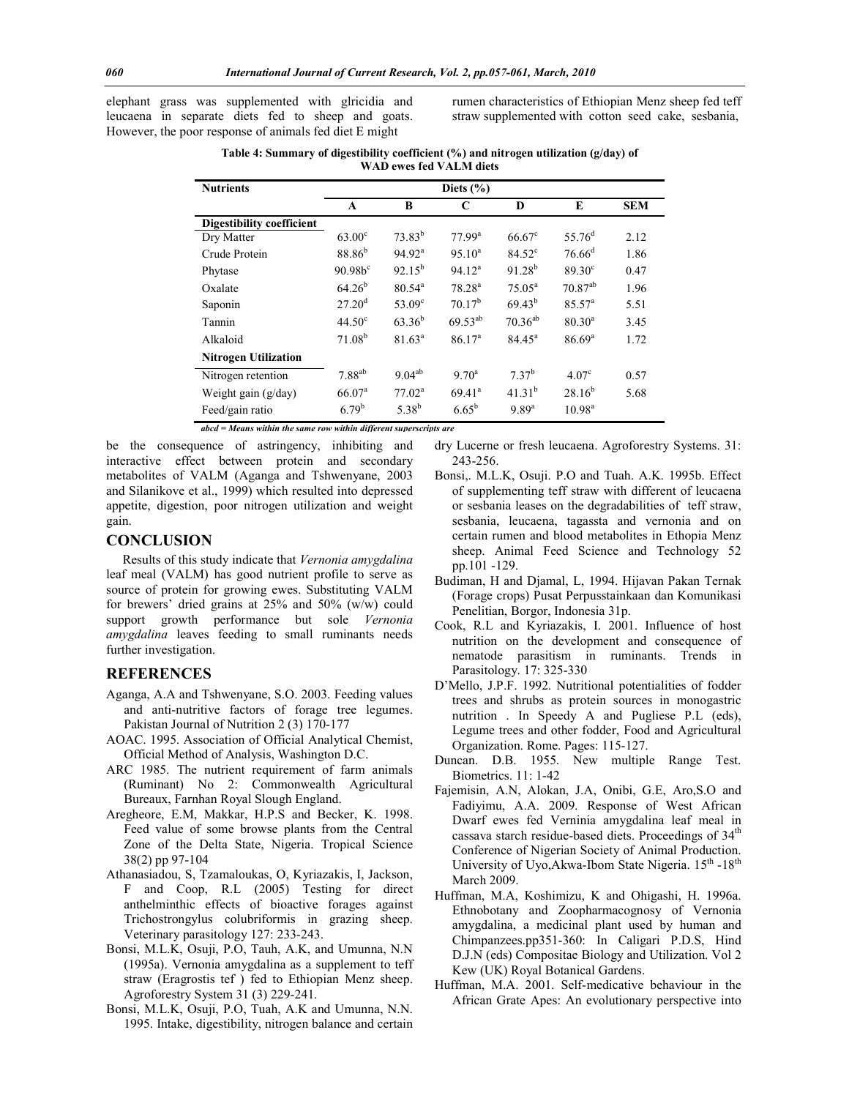elephant grass was supplemented with glricidia and leucaena in separate diets fed to sheep and goats. However, the poor response of animals fed diet E might

rumen characteristics of Ethiopian Menz sheep fed teff straw supplemented with cotton seed cake, sesbania,

**Table 4: Summary of digestibility coefficient (%) and nitrogen utilization (g/day) of WAD ewes fed VALM diets**

| <b>Nutrients</b>            | Diets $(\% )$      |                    |                    |                   |                    |            |  |
|-----------------------------|--------------------|--------------------|--------------------|-------------------|--------------------|------------|--|
|                             | A                  | B                  | C                  | D                 | E                  | <b>SEM</b> |  |
| Digestibility coefficient   |                    |                    |                    |                   |                    |            |  |
| Dry Matter                  | $63.00^{\circ}$    | 73.83 <sup>b</sup> | 77.99 <sup>a</sup> | $66.67^{\circ}$   | 55.76 $^{d}$       | 2.12       |  |
| Crude Protein               | $88.86^{b}$        | 94.92 <sup>a</sup> | $95.10^a$          | $84.52^{\circ}$   | $76.66^{\rm d}$    | 1.86       |  |
| Phytase                     | 90.98 <sup>c</sup> | $92.15^{b}$        | 94.12 <sup>a</sup> | $91.28^{b}$       | $89.30^{\circ}$    | 0.47       |  |
| Oxalate                     | $64.26^{b}$        | $80.54^a$          | 78.28 <sup>a</sup> | $75.05^{\rm a}$   | $70.87^{ab}$       | 1.96       |  |
| Saponin                     | 27.20 <sup>d</sup> | $53.09^{\circ}$    | $70.17^b$          | $69.43^{b}$       | 85.57 <sup>a</sup> | 5.51       |  |
| Tannin                      | $44.50^{\circ}$    | $63.36^{b}$        | $69.53^{ab}$       | $70.36^{ab}$      | $80.30^{a}$        | 3.45       |  |
| Alkaloid                    | $71.08^{b}$        | $81.63^a$          | 86.17 <sup>a</sup> | $84.45^{\circ}$   | $86.69^{a}$        | 1.72       |  |
| <b>Nitrogen Utilization</b> |                    |                    |                    |                   |                    |            |  |
| Nitrogen retention          | 7.88 <sup>ab</sup> | $9.04^{ab}$        | $9.70^a$           | 7.37 <sup>b</sup> | 4.07 <sup>c</sup>  | 0.57       |  |
| Weight gain $(g/day)$       | 66.07 <sup>a</sup> | 77.02 <sup>a</sup> | $69.41^a$          | $41.31^{b}$       | $28.16^{b}$        | 5.68       |  |
| Feed/gain ratio             | 6.79 <sup>b</sup>  | $5.38^{b}$         | $6.65^{b}$         | 9.89 <sup>a</sup> | 10.98 <sup>a</sup> |            |  |

*abcd = Means within the same row within different superscripts are* 

be the consequence of astringency, inhibiting and interactive effect between protein and secondary metabolites of VALM (Aganga and Tshwenyane, 2003 and Silanikove et al., 1999) which resulted into depressed appetite, digestion, poor nitrogen utilization and weight gain.

## **CONCLUSION**

 Results of this study indicate that *Vernonia amygdalina* leaf meal (VALM) has good nutrient profile to serve as source of protein for growing ewes. Substituting VALM for brewers' dried grains at 25% and 50% (w/w) could support growth performance but sole *Vernonia amygdalina* leaves feeding to small ruminants needs further investigation.

## **REFERENCES**

- Aganga, A.A and Tshwenyane, S.O. 2003. Feeding values and anti-nutritive factors of forage tree legumes. Pakistan Journal of Nutrition 2 (3) 170-177
- AOAC. 1995. Association of Official Analytical Chemist, Official Method of Analysis, Washington D.C.
- ARC 1985. The nutrient requirement of farm animals (Ruminant) No 2: Commonwealth Agricultural Bureaux, Farnhan Royal Slough England.
- Aregheore, E.M, Makkar, H.P.S and Becker, K. 1998. Feed value of some browse plants from the Central Zone of the Delta State, Nigeria. Tropical Science 38(2) pp 97-104
- Athanasiadou, S, Tzamaloukas, O, Kyriazakis, I, Jackson, F and Coop, R.L (2005) Testing for direct anthelminthic effects of bioactive forages against Trichostrongylus colubriformis in grazing sheep. Veterinary parasitology 127: 233-243.
- Bonsi, M.L.K, Osuji, P.O, Tauh, A.K, and Umunna, N.N (1995a). Vernonia amygdalina as a supplement to teff straw (Eragrostis tef ) fed to Ethiopian Menz sheep. Agroforestry System 31 (3) 229-241.
- Bonsi, M.L.K, Osuji, P.O, Tuah, A.K and Umunna, N.N. 1995. Intake, digestibility, nitrogen balance and certain
- dry Lucerne or fresh leucaena. Agroforestry Systems. 31: 243-256.
- Bonsi,. M.L.K, Osuji. P.O and Tuah. A.K. 1995b. Effect of supplementing teff straw with different of leucaena or sesbania leases on the degradabilities of teff straw, sesbania, leucaena, tagassta and vernonia and on certain rumen and blood metabolites in Ethopia Menz sheep. Animal Feed Science and Technology 52 pp.101 -129.
- Budiman, H and Djamal, L, 1994. Hijavan Pakan Ternak (Forage crops) Pusat Perpusstainkaan dan Komunikasi Penelitian, Borgor, Indonesia 31p.
- Cook, R.L and Kyriazakis, I. 2001. Influence of host nutrition on the development and consequence of nematode parasitism in ruminants. Trends in Parasitology. 17: 325-330
- D'Mello, J.P.F. 1992. Nutritional potentialities of fodder trees and shrubs as protein sources in monogastric nutrition . In Speedy A and Pugliese P.L (eds), Legume trees and other fodder, Food and Agricultural Organization. Rome. Pages: 115-127.
- Duncan. D.B. 1955. New multiple Range Test. Biometrics. 11: 1-42
- Fajemisin, A.N, Alokan, J.A, Onibi, G.E, Aro,S.O and Fadiyimu, A.A. 2009. Response of West African Dwarf ewes fed Verninia amygdalina leaf meal in cassava starch residue-based diets. Proceedings of 34<sup>th</sup> Conference of Nigerian Society of Animal Production. University of Uyo, Akwa-Ibom State Nigeria.  $15<sup>th</sup> - 18<sup>th</sup>$ March 2009.
- Huffman, M.A, Koshimizu, K and Ohigashi, H. 1996a. Ethnobotany and Zoopharmacognosy of Vernonia amygdalina, a medicinal plant used by human and Chimpanzees.pp351-360: In Caligari P.D.S, Hind D.J.N (eds) Compositae Biology and Utilization. Vol 2 Kew (UK) Royal Botanical Gardens.
- Huffman, M.A. 2001. Self-medicative behaviour in the African Grate Apes: An evolutionary perspective into